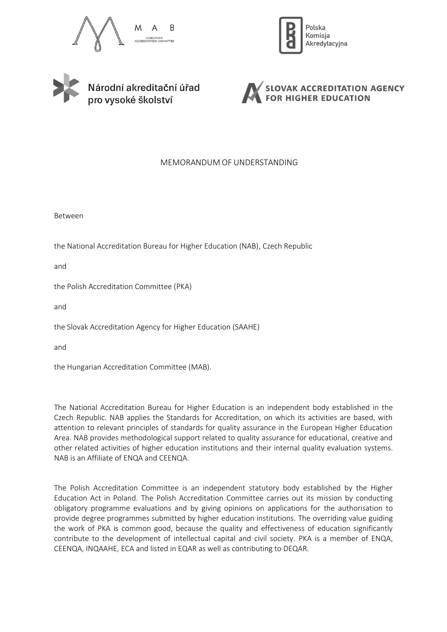







# MEMORANDUM OF UNDERSTANDING

Between

the National Accreditation Bureau for Higher Education (NAB), Czech Republic

and

the Polish Accreditation Committee (PKA)

and

the Slovak Accreditation Agency for Higher Education (SAAHE)

and

the Hungarian Accreditation Committee (MAB).

The National Accreditation Bureau for Higher Education is an independent body established in the Czech Republic. NAB applies the Standards for Accreditation, on which its activities are based, with attention to relevant principles of standards for quality assurance in the European Higher Education Area. NAB provides methodological support related to quality assurance for educational, creative and other related activities of higher education institutions and their internal quality evaluation systems. NAB is an Affiliate of ENQA and CEENQA.

The Polish Accreditation Committee is an independent statutory body established by the Higher Education Act in Poland. The Polish Accreditation Committee carries out its mission by conducting obligatory programme evaluations and by giving opinions on applications for the authorisation to provide degree programmes submitted by higher education institutions. The overriding value guiding the work of PKA is common good, because the quality and effectiveness of education significantly contribute to the development of intellectual capital and civil society. PKA is a member of ENQA, CEENQA, INQAAHE, ECA and listed in EQAR as well as contributing to DEQAR.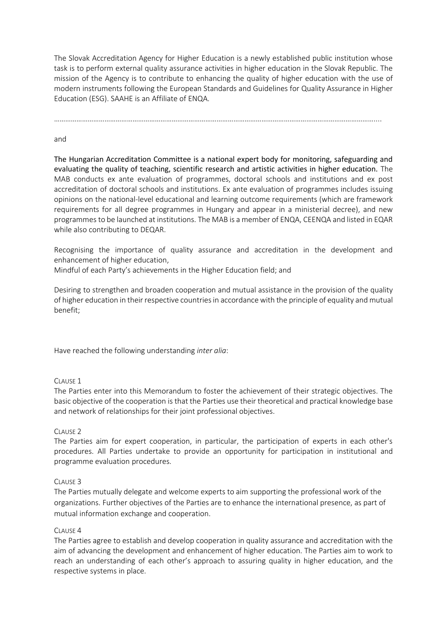The Slovak Accreditation Agency for Higher Education is a newly established public institution whose task is to perform external quality assurance activities in higher education in the Slovak Republic. The mission of the Agency is to contribute to enhancing the quality of higher education with the use of modern instruments following the European Standards and Guidelines for Quality Assurance in Higher Education (ESG). SAAHE is an Affiliate of ENQA.

………………………………………………………………………………………………………………………………………………………....

### and

The Hungarian Accreditation Committee is a national expert body for monitoring, safeguarding and evaluating the quality of teaching, scientific research and artistic activities in higher education. The MAB conducts ex ante evaluation of programmes, doctoral schools and institutions and ex post accreditation of doctoral schools and institutions. Ex ante evaluation of programmes includes issuing opinions on the national-level educational and learning outcome requirements (which are framework requirements for all degree programmes in Hungary and appear in a ministerial decree), and new programmes to be launched at institutions. The MAB is a member of ENQA, CEENQA and listed in EQAR while also contributing to DEQAR.

Recognising the importance of quality assurance and accreditation in the development and enhancement of higher education,

Mindful of each Party's achievements in the Higher Education field; and

Desiring to strengthen and broaden cooperation and mutual assistance in the provision of the quality of higher education in their respective countries in accordance with the principle of equality and mutual benefit;

Have reached the following understanding *inter alia*:

### CLAUSE 1

The Parties enter into this Memorandum to foster the achievement of their strategic objectives. The basic objective of the cooperation is that the Parties use their theoretical and practical knowledge base and network of relationships for their joint professional objectives.

### CLAUSE 2

The Parties aim for expert cooperation, in particular, the participation of experts in each other's procedures. All Parties undertake to provide an opportunity for participation in institutional and programme evaluation procedures.

### CLAUSE 3

The Parties mutually delegate and welcome experts to aim supporting the professional work of the organizations. Further objectives of the Parties are to enhance the international presence, as part of mutual information exchange and cooperation.

### CLAUSE 4

The Parties agree to establish and develop cooperation in quality assurance and accreditation with the aim of advancing the development and enhancement of higher education. The Parties aim to work to reach an understanding of each other's approach to assuring quality in higher education, and the respective systems in place.